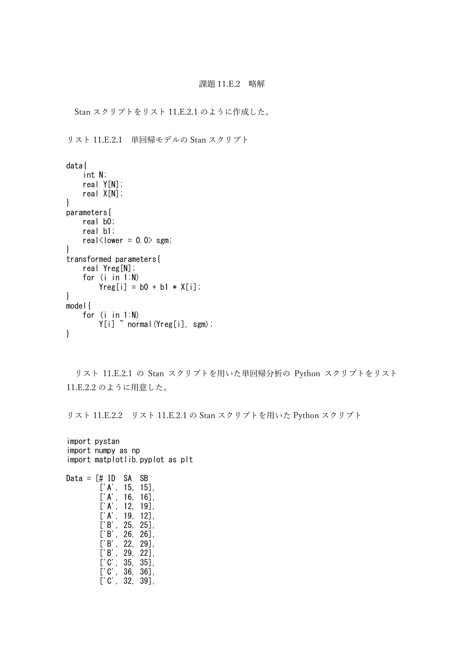## 課題 11.E.2 略解

Stan スクリプトをリスト 11.E.2.1 のように作成した。

リスト 11.E.2.1 単回帰モデルの Stan スクリプト

```
data{
    int N;
    real Y[N];
    real X[N];
}
parameters{
    real b0;
    real b1;
    real\langlelower = 0.0\rangle sgm;
}
transformed parameters{
    real Yreg[N];
    for (i in 1:N)
        Yreg[i] = b0 + b1 * X[i];}
model{
    for (i in 1:N)
        Y[i] ~ normal(Yreg[i], sgm);
}
```
リスト 11.E.2.1 の Stan スクリプトを用いた単回帰分析の Python スクリプトをリスト 11.E.2.2 のように用意した。

リスト 11.E.2.2 リスト 11.E.2.1 の Stan スクリプトを用いた Python スクリプト

```
import pystan
import numpy as np
import matplotlib.pyplot as plt
Data = [# ID SA SB
        ['A', 15, 15],
        ['A', 16, 16],
        ['A', 12, 19],['A', 19, 12],
        ['B', 25, 25],
        ['B', 26, 26],
        ['B', 22, 29],
        ['B', 29, 22],
        ['C', 35, 35],
        ['C', 36, 36],
        ['C', 32, 39],
```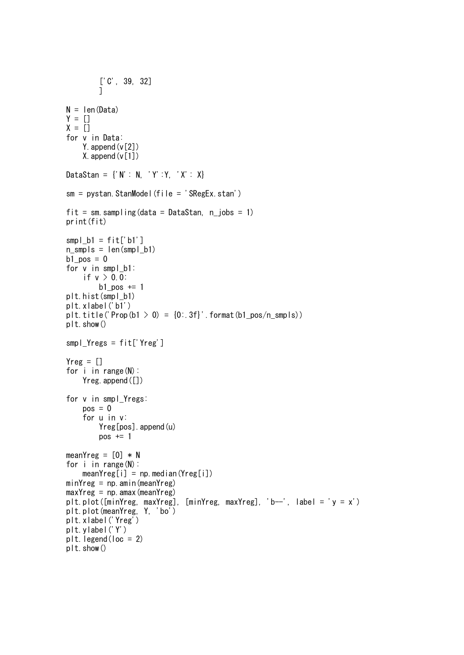```
['C', 39, 32]
         ]
N = len(Data)Y = []X = []for v in Data:
    Y.append(v[2])
    X. append (v[1])DataStan = {'N': N, 'Y':Y, 'X': X}
sm = pystan. StanModel(file = 'SRegEx. stan')
fit = sm. sampling (data = DataStan, n iobs = 1)
print(fit)
smpl b1 = fit['b1']n_smpls = len(smpl_b1)
b1_pos = 0
for v in smpl_b1:
    if v > 0.0:
        b1 pos += 1plt.hist(smpl_b1)
plt.xlabel('b1')
plt.title('Prop(b1 > 0) = [0:.3f]'.format(b1_pos/n_smpls))
plt.show()
smpl_Yregs = fit['Yreg']
Yreg = []for i in range(N):
    Yreg. append([])
for v in smpl_Yregs:
    pos = 0for u in v:
        Yreg[pos].append(u)
        pos += 1meanYreg = [0] * N
for i in range(N):
    meanYreg[i] = np, median(Yreg[i])minYreg = np. amin(meanYreg)
maxYreg = np. amax (meanYreg)
plt.plot([\text{minYreg}, \text{maxYreg}], [\text{minYreg}, \text{maxYreg}], 'b--', label = 'y = x')
plt.plot(meanYreg, Y, 'bo')
plt.xlabel('Yreg')
plt.ylabel('Y')
plt.legend(loc = 2)
plt.show()
```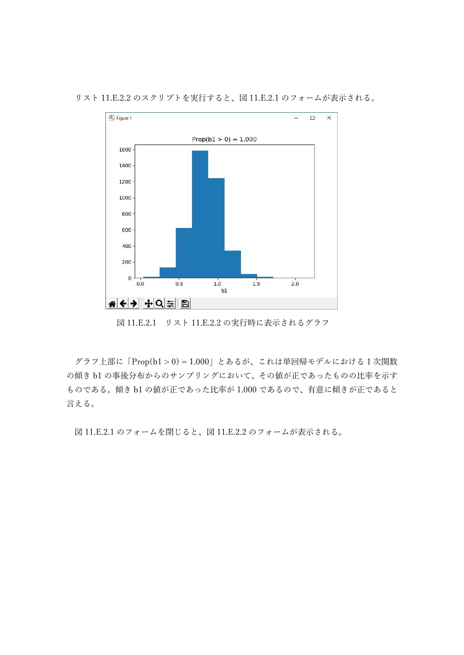リスト 11.E.2.2 のスクリプトを実行すると、図 11.E.2.1 のフォームが表示される。



図 11.E.2.1 リスト 11.E.2.2 の実行時に表示されるグラフ

グラフ上部に「Prop(b1 > 0) = 1.000」とあるが、これは単回帰モデルにおける 1 次関数 の傾き b1 の事後分布からのサンプリングにおいて、その値が正であったものの比率を示す ものである。傾き b1 の値が正であった比率が 1.000 であるので、有意に傾きが正であると 言える。

図 11.E.2.1 のフォームを閉じると、図 11.E.2.2 のフォームが表示される。